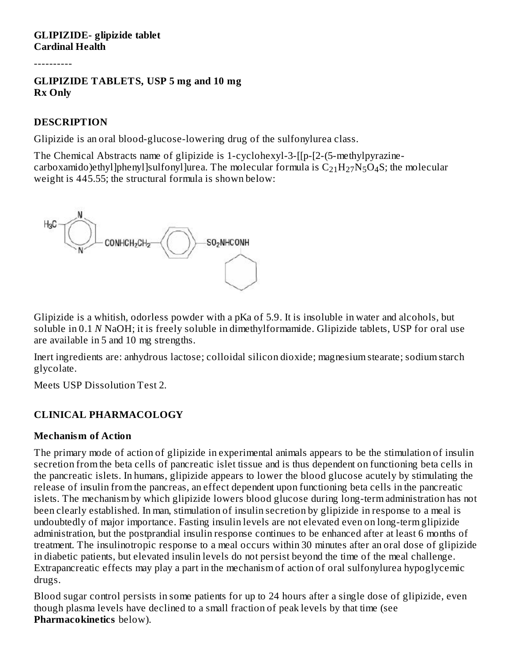#### **GLIPIZIDE- glipizide tablet Cardinal Health**

----------

#### **GLIPIZIDE TABLETS, USP 5 mg and 10 mg Rx Only**

#### **DESCRIPTION**

Glipizide is an oral blood-glucose-lowering drug of the sulfonylurea class.

The Chemical Abstracts name of glipizide is 1-cyclohexyl-3-[[p-[2-(5-methylpyrazinecarboxamido)ethyl]phenyl]sulfonyl]urea. The molecular formula is  $\rm{C_{21}H_{27}N_5O_4S}$ ; the molecular weight is 445.55; the structural formula is shown below:



Glipizide is a whitish, odorless powder with a pKa of 5.9. It is insoluble in water and alcohols, but soluble in 0.1 *N* NaOH; it is freely soluble in dimethylformamide. Glipizide tablets, USP for oral use are available in 5 and 10 mg strengths.

Inert ingredients are: anhydrous lactose; colloidal silicon dioxide; magnesium stearate; sodium starch glycolate.

Meets USP Dissolution Test 2.

#### **CLINICAL PHARMACOLOGY**

#### **Mechanism of Action**

The primary mode of action of glipizide in experimental animals appears to be the stimulation of insulin secretion from the beta cells of pancreatic islet tissue and is thus dependent on functioning beta cells in the pancreatic islets. In humans, glipizide appears to lower the blood glucose acutely by stimulating the release of insulin from the pancreas, an effect dependent upon functioning beta cells in the pancreatic islets. The mechanism by which glipizide lowers blood glucose during long-term administration has not been clearly established. In man, stimulation of insulin secretion by glipizide in response to a meal is undoubtedly of major importance. Fasting insulin levels are not elevated even on long-term glipizide administration, but the postprandial insulin response continues to be enhanced after at least 6 months of treatment. The insulinotropic response to a meal occurs within 30 minutes after an oral dose of glipizide in diabetic patients, but elevated insulin levels do not persist beyond the time of the meal challenge. Extrapancreatic effects may play a part in the mechanism of action of oral sulfonylurea hypoglycemic drugs.

Blood sugar control persists in some patients for up to 24 hours after a single dose of glipizide, even though plasma levels have declined to a small fraction of peak levels by that time (see **Pharmacokinetics** below).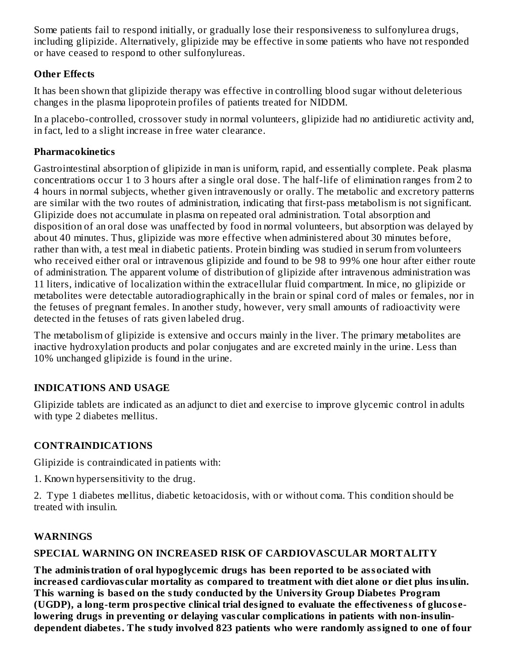Some patients fail to respond initially, or gradually lose their responsiveness to sulfonylurea drugs, including glipizide. Alternatively, glipizide may be effective in some patients who have not responded or have ceased to respond to other sulfonylureas.

## **Other Effects**

It has been shown that glipizide therapy was effective in controlling blood sugar without deleterious changes in the plasma lipoprotein profiles of patients treated for NIDDM.

In a placebo-controlled, crossover study in normal volunteers, glipizide had no antidiuretic activity and, in fact, led to a slight increase in free water clearance.

## **Pharmacokinetics**

Gastrointestinal absorption of glipizide in man is uniform, rapid, and essentially complete. Peak plasma concentrations occur 1 to 3 hours after a single oral dose. The half-life of elimination ranges from 2 to 4 hours in normal subjects, whether given intravenously or orally. The metabolic and excretory patterns are similar with the two routes of administration, indicating that first-pass metabolism is not significant. Glipizide does not accumulate in plasma on repeated oral administration. Total absorption and disposition of an oral dose was unaffected by food in normal volunteers, but absorption was delayed by about 40 minutes. Thus, glipizide was more effective when administered about 30 minutes before, rather than with, a test meal in diabetic patients. Protein binding was studied in serum from volunteers who received either oral or intravenous glipizide and found to be 98 to 99% one hour after either route of administration. The apparent volume of distribution of glipizide after intravenous administration was 11 liters, indicative of localization within the extracellular fluid compartment. In mice, no glipizide or metabolites were detectable autoradiographically in the brain or spinal cord of males or females, nor in the fetuses of pregnant females. In another study, however, very small amounts of radioactivity were detected in the fetuses of rats given labeled drug.

The metabolism of glipizide is extensive and occurs mainly in the liver. The primary metabolites are inactive hydroxylation products and polar conjugates and are excreted mainly in the urine. Less than 10% unchanged glipizide is found in the urine.

# **INDICATIONS AND USAGE**

Glipizide tablets are indicated as an adjunct to diet and exercise to improve glycemic control in adults with type 2 diabetes mellitus.

# **CONTRAINDICATIONS**

Glipizide is contraindicated in patients with:

1. Known hypersensitivity to the drug.

2. Type 1 diabetes mellitus, diabetic ketoacidosis, with or without coma. This condition should be treated with insulin.

## **WARNINGS**

## **SPECIAL WARNING ON INCREASED RISK OF CARDIOVASCULAR MORTALITY**

**The administration of oral hypoglycemic drugs has been reported to be associated with increas ed cardiovas cular mortality as compared to treatment with diet alone or diet plus insulin. This warning is bas ed on the study conducted by the University Group Diabetes Program (UGDP), a long-term prospective clinical trial designed to evaluate the effectiveness of glucos elowering drugs in preventing or delaying vas cular complications in patients with non-insulindependent diabetes. The study involved 823 patients who were randomly assigned to one of four**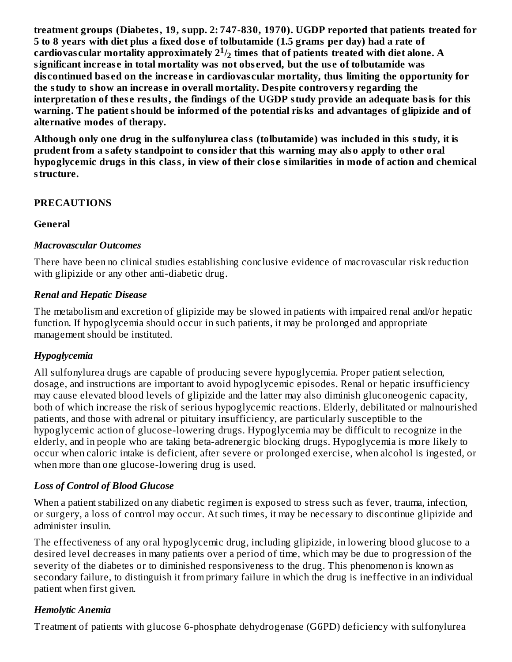**treatment groups (Diabetes, 19, supp. 2: 747-830, 1970). UGDP reported that patients treated for** 5 to 8 years with diet plus a fixed dose of tolbutamide (1.5 grams per day) had a rate of **cardiovas cular mortality approximately 2 / times that of patients treated with diet alone. A 1 2significant increas e in total mortality was not obs erved, but the us e of tolbutamide was dis continued bas ed on the increas e in cardiovas cular mortality, thus limiting the opportunity for the study to show an increas e in overall mortality. Despite controversy regarding the interpretation of thes e results, the findings of the UGDP study provide an adequate basis for this warning. The patient should be informed of the potential risks and advantages of glipizide and of alternative modes of therapy.**

**Although only one drug in the sulfonylurea class (tolbutamide) was included in this study, it is prudent from a safety standpoint to consider that this warning may also apply to other oral** hypoglycemic drugs in this class, in view of their close similarities in mode of action and chemical **structure.**

#### **PRECAUTIONS**

#### **General**

#### *Macrovascular Outcomes*

There have been no clinical studies establishing conclusive evidence of macrovascular risk reduction with glipizide or any other anti-diabetic drug.

#### *Renal and Hepatic Disease*

The metabolism and excretion of glipizide may be slowed in patients with impaired renal and/or hepatic function. If hypoglycemia should occur in such patients, it may be prolonged and appropriate management should be instituted.

#### *Hypoglycemia*

All sulfonylurea drugs are capable of producing severe hypoglycemia. Proper patient selection, dosage, and instructions are important to avoid hypoglycemic episodes. Renal or hepatic insufficiency may cause elevated blood levels of glipizide and the latter may also diminish gluconeogenic capacity, both of which increase the risk of serious hypoglycemic reactions. Elderly, debilitated or malnourished patients, and those with adrenal or pituitary insufficiency, are particularly susceptible to the hypoglycemic action of glucose-lowering drugs. Hypoglycemia may be difficult to recognize in the elderly, and in people who are taking beta-adrenergic blocking drugs. Hypoglycemia is more likely to occur when caloric intake is deficient, after severe or prolonged exercise, when alcohol is ingested, or when more than one glucose-lowering drug is used.

#### *Loss of Control of Blood Glucose*

When a patient stabilized on any diabetic regimen is exposed to stress such as fever, trauma, infection, or surgery, a loss of control may occur. At such times, it may be necessary to discontinue glipizide and administer insulin.

The effectiveness of any oral hypoglycemic drug, including glipizide, in lowering blood glucose to a desired level decreases in many patients over a period of time, which may be due to progression of the severity of the diabetes or to diminished responsiveness to the drug. This phenomenon is known as secondary failure, to distinguish it from primary failure in which the drug is ineffective in an individual patient when first given.

#### *Hemolytic Anemia*

Treatment of patients with glucose 6-phosphate dehydrogenase (G6PD) deficiency with sulfonylurea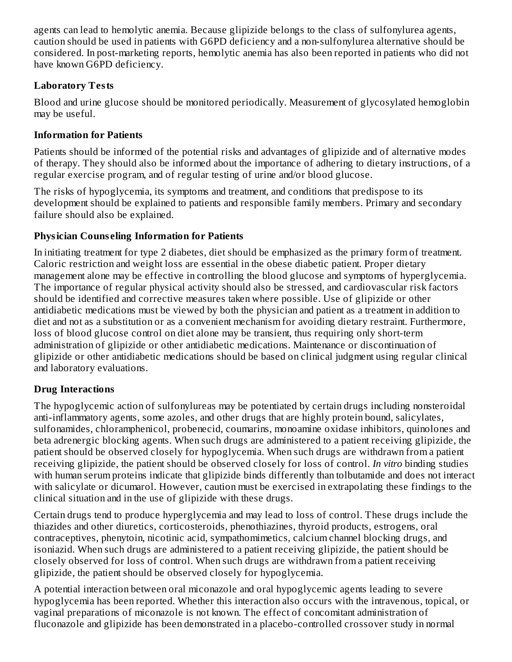agents can lead to hemolytic anemia. Because glipizide belongs to the class of sulfonylurea agents, caution should be used in patients with G6PD deficiency and a non-sulfonylurea alternative should be considered. In post-marketing reports, hemolytic anemia has also been reported in patients who did not have known G6PD deficiency.

## **Laboratory Tests**

Blood and urine glucose should be monitored periodically. Measurement of glycosylated hemoglobin may be useful.

# **Information for Patients**

Patients should be informed of the potential risks and advantages of glipizide and of alternative modes of therapy. They should also be informed about the importance of adhering to dietary instructions, of a regular exercise program, and of regular testing of urine and/or blood glucose.

The risks of hypoglycemia, its symptoms and treatment, and conditions that predispose to its development should be explained to patients and responsible family members. Primary and secondary failure should also be explained.

# **Physician Couns eling Information for Patients**

In initiating treatment for type 2 diabetes, diet should be emphasized as the primary form of treatment. Caloric restriction and weight loss are essential in the obese diabetic patient. Proper dietary management alone may be effective in controlling the blood glucose and symptoms of hyperglycemia. The importance of regular physical activity should also be stressed, and cardiovascular risk factors should be identified and corrective measures taken where possible. Use of glipizide or other antidiabetic medications must be viewed by both the physician and patient as a treatment in addition to diet and not as a substitution or as a convenient mechanism for avoiding dietary restraint. Furthermore, loss of blood glucose control on diet alone may be transient, thus requiring only short-term administration of glipizide or other antidiabetic medications. Maintenance or discontinuation of glipizide or other antidiabetic medications should be based on clinical judgment using regular clinical and laboratory evaluations.

## **Drug Interactions**

The hypoglycemic action of sulfonylureas may be potentiated by certain drugs including nonsteroidal anti-inflammatory agents, some azoles, and other drugs that are highly protein bound, salicylates, sulfonamides, chloramphenicol, probenecid, coumarins, monoamine oxidase inhibitors, quinolones and beta adrenergic blocking agents. When such drugs are administered to a patient receiving glipizide, the patient should be observed closely for hypoglycemia. When such drugs are withdrawn from a patient receiving glipizide, the patient should be observed closely for loss of control. *In vitro* binding studies with human serum proteins indicate that glipizide binds differently than tolbutamide and does not interact with salicylate or dicumarol. However, caution must be exercised in extrapolating these findings to the clinical situation and in the use of glipizide with these drugs.

Certain drugs tend to produce hyperglycemia and may lead to loss of control. These drugs include the thiazides and other diuretics, corticosteroids, phenothiazines, thyroid products, estrogens, oral contraceptives, phenytoin, nicotinic acid, sympathomimetics, calcium channel blocking drugs, and isoniazid. When such drugs are administered to a patient receiving glipizide, the patient should be closely observed for loss of control. When such drugs are withdrawn from a patient receiving glipizide, the patient should be observed closely for hypoglycemia.

A potential interaction between oral miconazole and oral hypoglycemic agents leading to severe hypoglycemia has been reported. Whether this interaction also occurs with the intravenous, topical, or vaginal preparations of miconazole is not known. The effect of concomitant administration of fluconazole and glipizide has been demonstrated in a placebo-controlled crossover study in normal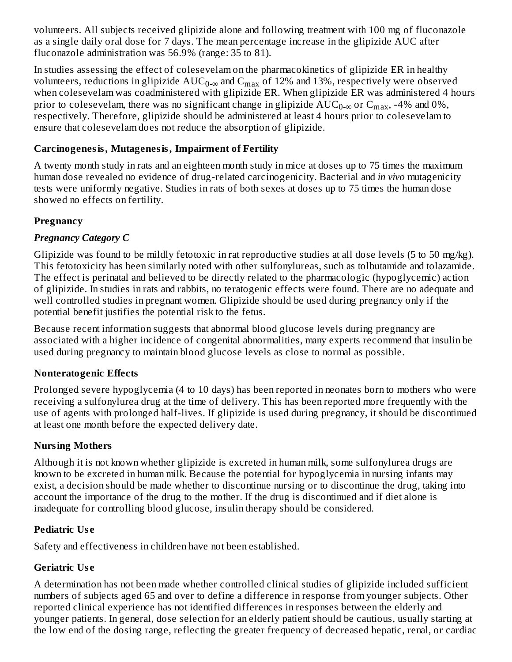volunteers. All subjects received glipizide alone and following treatment with 100 mg of fluconazole as a single daily oral dose for 7 days. The mean percentage increase in the glipizide AUC after fluconazole administration was 56.9% (range: 35 to 81).

In studies assessing the effect of colesevelam on the pharmacokinetics of glipizide ER in healthy volunteers, reductions in glipizide  $\mathrm{AUC_{0-\infty}}$  and  $\mathrm{C_{max}}$  of 12% and 13%, respectively were observed when colesevelam was coadministered with glipizide ER. When glipizide ER was administered 4 hours prior to colesevelam, there was no significant change in glipizide  $\mathrm{AUC}_{0-\infty}$  or  $\mathrm{C_{max}}$ , -4% and 0%, respectively. Therefore, glipizide should be administered at least 4 hours prior to colesevelam to ensure that colesevelam does not reduce the absorption of glipizide.

#### **Carcinogenesis, Mutagenesis, Impairment of Fertility**

A twenty month study in rats and an eighteen month study in mice at doses up to 75 times the maximum human dose revealed no evidence of drug-related carcinogenicity. Bacterial and *in vivo* mutagenicity tests were uniformly negative. Studies in rats of both sexes at doses up to 75 times the human dose showed no effects on fertility.

## **Pregnancy**

# *Pregnancy Category C*

Glipizide was found to be mildly fetotoxic in rat reproductive studies at all dose levels (5 to 50 mg/kg). This fetotoxicity has been similarly noted with other sulfonylureas, such as tolbutamide and tolazamide. The effect is perinatal and believed to be directly related to the pharmacologic (hypoglycemic) action of glipizide. In studies in rats and rabbits, no teratogenic effects were found. There are no adequate and well controlled studies in pregnant women. Glipizide should be used during pregnancy only if the potential benefit justifies the potential risk to the fetus.

Because recent information suggests that abnormal blood glucose levels during pregnancy are associated with a higher incidence of congenital abnormalities, many experts recommend that insulin be used during pregnancy to maintain blood glucose levels as close to normal as possible.

## **Nonteratogenic Effects**

Prolonged severe hypoglycemia (4 to 10 days) has been reported in neonates born to mothers who were receiving a sulfonylurea drug at the time of delivery. This has been reported more frequently with the use of agents with prolonged half-lives. If glipizide is used during pregnancy, it should be discontinued at least one month before the expected delivery date.

## **Nursing Mothers**

Although it is not known whether glipizide is excreted in human milk, some sulfonylurea drugs are known to be excreted in human milk. Because the potential for hypoglycemia in nursing infants may exist, a decision should be made whether to discontinue nursing or to discontinue the drug, taking into account the importance of the drug to the mother. If the drug is discontinued and if diet alone is inadequate for controlling blood glucose, insulin therapy should be considered.

# **Pediatric Us e**

Safety and effectiveness in children have not been established.

# **Geriatric Us e**

A determination has not been made whether controlled clinical studies of glipizide included sufficient numbers of subjects aged 65 and over to define a difference in response from younger subjects. Other reported clinical experience has not identified differences in responses between the elderly and younger patients. In general, dose selection for an elderly patient should be cautious, usually starting at the low end of the dosing range, reflecting the greater frequency of decreased hepatic, renal, or cardiac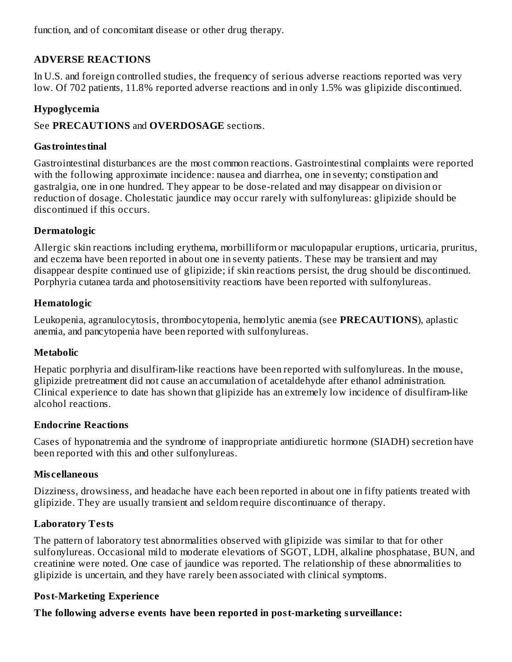function, and of concomitant disease or other drug therapy.

#### **ADVERSE REACTIONS**

In U.S. and foreign controlled studies, the frequency of serious adverse reactions reported was very low. Of 702 patients, 11.8% reported adverse reactions and in only 1.5% was glipizide discontinued.

#### **Hypoglycemia**

#### See **PRECAUTIONS** and **OVERDOSAGE** sections.

#### **Gastrointestinal**

Gastrointestinal disturbances are the most common reactions. Gastrointestinal complaints were reported with the following approximate incidence: nausea and diarrhea, one in seventy; constipation and gastralgia, one in one hundred. They appear to be dose-related and may disappear on division or reduction of dosage. Cholestatic jaundice may occur rarely with sulfonylureas: glipizide should be discontinued if this occurs.

#### **Dermatologic**

Allergic skin reactions including erythema, morbilliform or maculopapular eruptions, urticaria, pruritus, and eczema have been reported in about one in seventy patients. These may be transient and may disappear despite continued use of glipizide; if skin reactions persist, the drug should be discontinued. Porphyria cutanea tarda and photosensitivity reactions have been reported with sulfonylureas.

#### **Hematologic**

Leukopenia, agranulocytosis, thrombocytopenia, hemolytic anemia (see **PRECAUTIONS**), aplastic anemia, and pancytopenia have been reported with sulfonylureas.

#### **Metabolic**

Hepatic porphyria and disulfiram-like reactions have been reported with sulfonylureas. In the mouse, glipizide pretreatment did not cause an accumulation of acetaldehyde after ethanol administration. Clinical experience to date has shown that glipizide has an extremely low incidence of disulfiram-like alcohol reactions.

#### **Endocrine Reactions**

Cases of hyponatremia and the syndrome of inappropriate antidiuretic hormone (SIADH) secretion have been reported with this and other sulfonylureas.

#### **Mis cellaneous**

Dizziness, drowsiness, and headache have each been reported in about one in fifty patients treated with glipizide. They are usually transient and seldom require discontinuance of therapy.

#### **Laboratory Tests**

The pattern of laboratory test abnormalities observed with glipizide was similar to that for other sulfonylureas. Occasional mild to moderate elevations of SGOT, LDH, alkaline phosphatase, BUN, and creatinine were noted. One case of jaundice was reported. The relationship of these abnormalities to glipizide is uncertain, and they have rarely been associated with clinical symptoms.

#### **Post-Marketing Experience**

**The following advers e events have been reported in post-marketing surveillance:**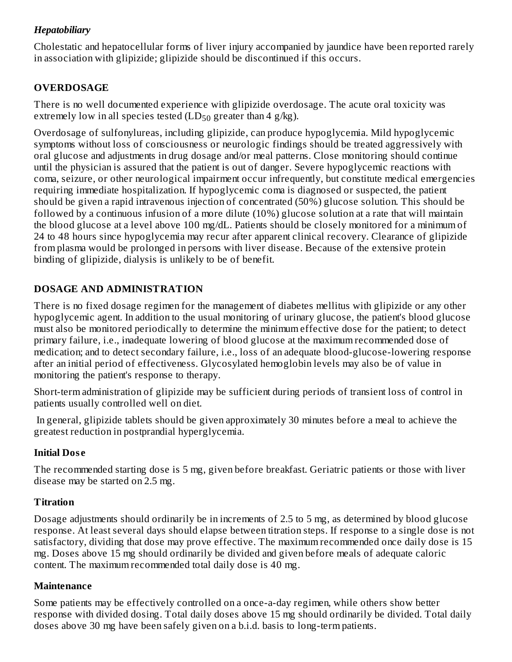#### *Hepatobiliary*

Cholestatic and hepatocellular forms of liver injury accompanied by jaundice have been reported rarely in association with glipizide; glipizide should be discontinued if this occurs.

## **OVERDOSAGE**

There is no well documented experience with glipizide overdosage. The acute oral toxicity was extremely low in all species tested (LD $_{50}$  greater than 4 g/kg).

Overdosage of sulfonylureas, including glipizide, can produce hypoglycemia. Mild hypoglycemic symptoms without loss of consciousness or neurologic findings should be treated aggressively with oral glucose and adjustments in drug dosage and/or meal patterns. Close monitoring should continue until the physician is assured that the patient is out of danger. Severe hypoglycemic reactions with coma, seizure, or other neurological impairment occur infrequently, but constitute medical emergencies requiring immediate hospitalization. If hypoglycemic coma is diagnosed or suspected, the patient should be given a rapid intravenous injection of concentrated (50%) glucose solution. This should be followed by a continuous infusion of a more dilute (10%) glucose solution at a rate that will maintain the blood glucose at a level above 100 mg/dL. Patients should be closely monitored for a minimum of 24 to 48 hours since hypoglycemia may recur after apparent clinical recovery. Clearance of glipizide from plasma would be prolonged in persons with liver disease. Because of the extensive protein binding of glipizide, dialysis is unlikely to be of benefit.

#### **DOSAGE AND ADMINISTRATION**

There is no fixed dosage regimen for the management of diabetes mellitus with glipizide or any other hypoglycemic agent. In addition to the usual monitoring of urinary glucose, the patient's blood glucose must also be monitored periodically to determine the minimum effective dose for the patient; to detect primary failure, i.e., inadequate lowering of blood glucose at the maximum recommended dose of medication; and to detect secondary failure, i.e., loss of an adequate blood-glucose-lowering response after an initial period of effectiveness. Glycosylated hemoglobin levels may also be of value in monitoring the patient's response to therapy.

Short-term administration of glipizide may be sufficient during periods of transient loss of control in patients usually controlled well on diet.

In general, glipizide tablets should be given approximately 30 minutes before a meal to achieve the greatest reduction in postprandial hyperglycemia.

#### **Initial Dos e**

The recommended starting dose is 5 mg, given before breakfast. Geriatric patients or those with liver disease may be started on 2.5 mg.

#### **Titration**

Dosage adjustments should ordinarily be in increments of 2.5 to 5 mg, as determined by blood glucose response. At least several days should elapse between titration steps. If response to a single dose is not satisfactory, dividing that dose may prove effective. The maximum recommended once daily dose is 15 mg. Doses above 15 mg should ordinarily be divided and given before meals of adequate caloric content. The maximum recommended total daily dose is 40 mg.

#### **Maintenance**

Some patients may be effectively controlled on a once-a-day regimen, while others show better response with divided dosing. Total daily doses above 15 mg should ordinarily be divided. Total daily doses above 30 mg have been safely given on a b.i.d. basis to long-term patients.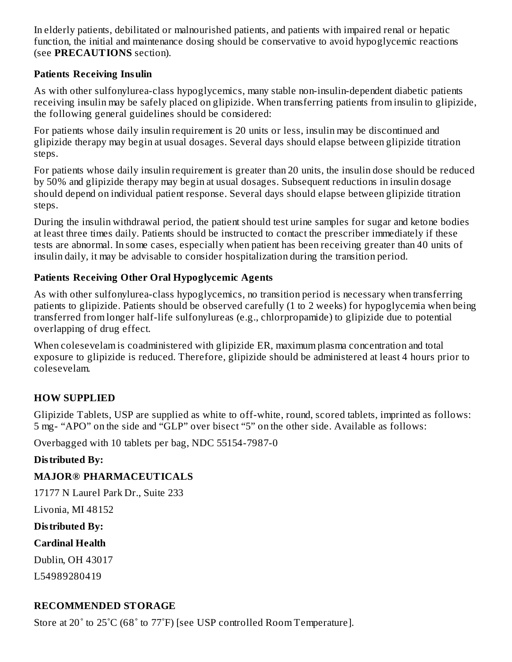In elderly patients, debilitated or malnourished patients, and patients with impaired renal or hepatic function, the initial and maintenance dosing should be conservative to avoid hypoglycemic reactions (see **PRECAUTIONS** section).

#### **Patients Receiving Insulin**

As with other sulfonylurea-class hypoglycemics, many stable non-insulin-dependent diabetic patients receiving insulin may be safely placed on glipizide. When transferring patients from insulin to glipizide, the following general guidelines should be considered:

For patients whose daily insulin requirement is 20 units or less, insulin may be discontinued and glipizide therapy may begin at usual dosages. Several days should elapse between glipizide titration steps.

For patients whose daily insulin requirement is greater than 20 units, the insulin dose should be reduced by 50% and glipizide therapy may begin at usual dosages. Subsequent reductions in insulin dosage should depend on individual patient response. Several days should elapse between glipizide titration steps.

During the insulin withdrawal period, the patient should test urine samples for sugar and ketone bodies at least three times daily. Patients should be instructed to contact the prescriber immediately if these tests are abnormal. In some cases, especially when patient has been receiving greater than 40 units of insulin daily, it may be advisable to consider hospitalization during the transition period.

# **Patients Receiving Other Oral Hypoglycemic Agents**

As with other sulfonylurea-class hypoglycemics, no transition period is necessary when transferring patients to glipizide. Patients should be observed carefully (1 to 2 weeks) for hypoglycemia when being transferred from longer half-life sulfonylureas (e.g., chlorpropamide) to glipizide due to potential overlapping of drug effect.

When colesevelam is coadministered with glipizide ER, maximum plasma concentration and total exposure to glipizide is reduced. Therefore, glipizide should be administered at least 4 hours prior to colesevelam.

## **HOW SUPPLIED**

Glipizide Tablets, USP are supplied as white to off-white, round, scored tablets, imprinted as follows: 5 mg- "APO" on the side and "GLP" over bisect "5" on the other side. Available as follows:

Overbagged with 10 tablets per bag, NDC 55154-7987-0

## **Distributed By:**

## **MAJOR® PHARMACEUTICALS**

17177 N Laurel Park Dr., Suite 233

Livonia, MI 48152

## **Distributed By:**

**Cardinal Health**

Dublin, OH 43017

L54989280419

## **RECOMMENDED STORAGE**

Store at 20˚ to 25˚C (68˚ to 77˚F) [see USP controlled Room Temperature].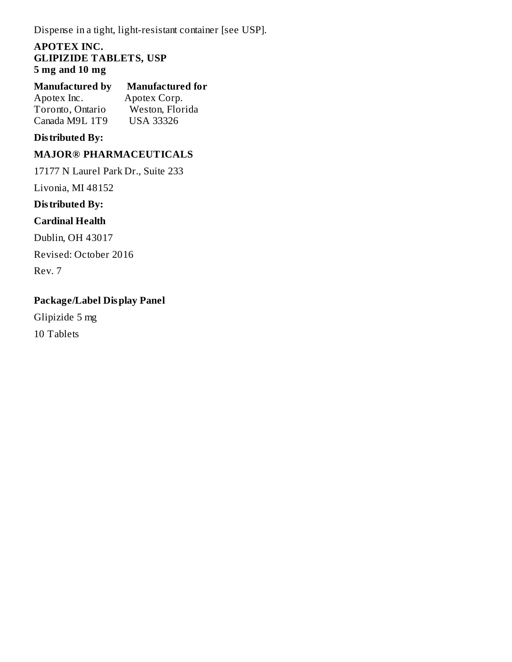Dispense in a tight, light-resistant container [see USP].

#### **APOTEX INC. GLIPIZIDE TABLETS, USP 5 mg and 10 mg**

| <b>Manufactured for</b> |
|-------------------------|
| Apotex Corp.            |
| Weston, Florida         |
| <b>USA 33326</b>        |
|                         |

#### **Distributed By:**

#### **MAJOR® PHARMACEUTICALS**

17177 N Laurel Park Dr., Suite 233

Livonia, MI 48152

**Distributed By:**

#### **Cardinal Health**

Dublin, OH 43017

Revised: October 2016

Rev. 7

# **Package/Label Display Panel**

Glipizide 5 mg 10 Tablets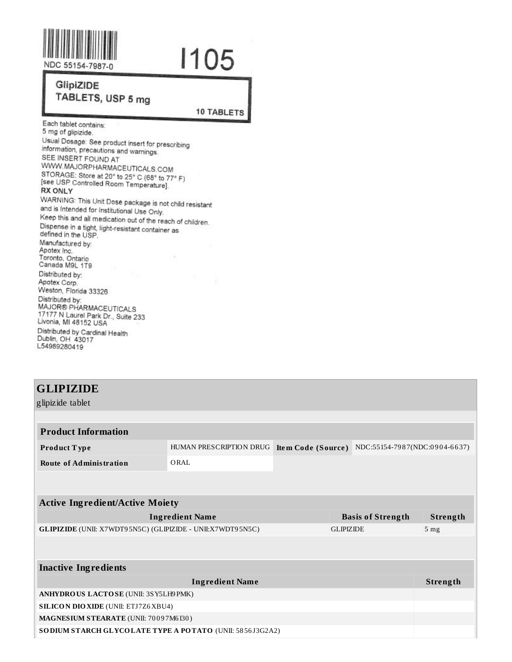

# 1105

## GlipiZIDE TABLETS, USP 5 mg

#### **10 TABLETS**

Each tablet contains: 5 mg of glipizide. Usual Dosage: See product insert for prescribing information, precautions and warnings. SEE INSERT FOUND AT WWW.MAJORPHARMACEUTICALS.COM STORAGE: Store at 20<sup>°</sup> to 25<sup>°</sup> C (68° to 77° F) See USP Controlled Room Temperature] **RX ONLY** WARNING: This Unit Dose package is not child resistant and is Intended for Institutional Use Only. Keep this and all medication out of the reach of children. Dispense in a tight, light-resistant container as<br>defined in the Lisp defined in the USP. Manufactured by: Apotex Inc. Toronto, Ontario  $\langle \hat{X} \rangle$ Canada M9L 1T9 Distributed by: Apotex Corp. Weston, Florida 33326 Distributed by: MAJOR® PHARMACEUTICALS 17177 N Laurel Park Dr., Suite 233 Livonia, MI 48152 USA Distributed by Cardinal Health Dublin, OH 43017 L54989280419

# **GLIPIZIDE**

glipizide tablet

| <b>Product Information</b>                                 |                                            |                          |                               |                 |  |  |  |  |
|------------------------------------------------------------|--------------------------------------------|--------------------------|-------------------------------|-----------------|--|--|--|--|
| <b>Product Type</b>                                        | HUMAN PRESCRIPTION DRUG Item Code (Source) |                          | NDC:55154-7987(NDC:0904-6637) |                 |  |  |  |  |
| <b>Route of Administration</b>                             | ORAL                                       |                          |                               |                 |  |  |  |  |
|                                                            |                                            |                          |                               |                 |  |  |  |  |
|                                                            |                                            |                          |                               |                 |  |  |  |  |
| <b>Active Ingredient/Active Moiety</b>                     |                                            |                          |                               |                 |  |  |  |  |
| <b>Ingredient Name</b>                                     |                                            | <b>Basis of Strength</b> | <b>Strength</b>               |                 |  |  |  |  |
| GLIPIZIDE (UNII: X7WDT95N5C) (GLIPIZIDE - UNII:X7WDT95N5C) |                                            |                          | <b>GLIPIZIDE</b>              | 5 <sub>mg</sub> |  |  |  |  |
|                                                            |                                            |                          |                               |                 |  |  |  |  |
|                                                            |                                            |                          |                               |                 |  |  |  |  |
| <b>Inactive Ingredients</b>                                |                                            |                          |                               |                 |  |  |  |  |
|                                                            | <b>Ingredient Name</b>                     |                          |                               | Strength        |  |  |  |  |

**ANHYDROUS LACTOSE** (UNII: 3SY5LH9 PMK) **SILICON DIOXIDE** (UNII: ETJ7Z6XBU4)

**MAGNESIUM STEARATE** (UNII: 70 0 9 7M6 I30 )

**SODIUM STARCH GLYCOLATE TYPE A POTATO** (UNII: 58 56 J3G2A2)